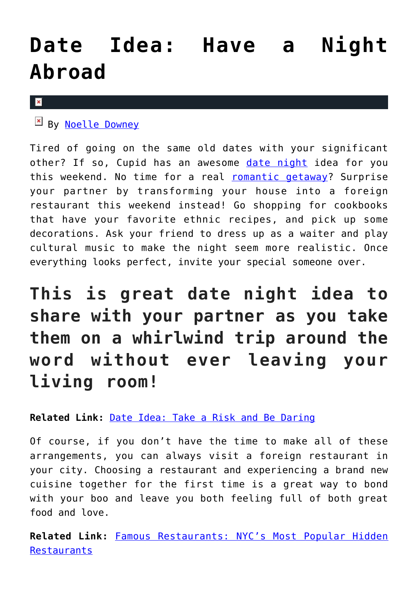## **[Date Idea: Have a Night](https://cupidspulse.com/118023/date-night-idea-night-abroad-romantic-getaway/) [Abroad](https://cupidspulse.com/118023/date-night-idea-night-abroad-romantic-getaway/)**

## $\pmb{\times}$

By [Noelle Downey](http://cupidspulse.com/117903/noelle-downey/)

Tired of going on the same old dates with your significant other? If so, Cupid has an awesome [date night](http://cupidspulse.com/love/weekend-date-ideas/) idea for you this weekend. No time for a real [romantic getaway](http://cupidspulse.com/celebrity-news/celebrity-vacations/)? Surprise your partner by transforming your house into a foreign restaurant this weekend instead! Go shopping for cookbooks that have your favorite ethnic recipes, and pick up some decorations. Ask your friend to dress up as a waiter and play cultural music to make the night seem more realistic. Once everything looks perfect, invite your special someone over.

**This is great date night idea to share with your partner as you take them on a whirlwind trip around the word without ever leaving your living room!**

**Related Link:** [Date Idea: Take a Risk and Be Daring](http://cupidspulse.com/117154/date-idea-take-risk-be-daring/)

Of course, if you don't have the time to make all of these arrangements, you can always visit a foreign restaurant in your city. Choosing a restaurant and experiencing a brand new cuisine together for the first time is a great way to bond with your boo and leave you both feeling full of both great food and love.

**Related Link:** [Famous Restaurants: NYC's Most Popular Hidden](http://cupidspulse.com/116952/famous-restaurants-nyc-popular-hidden-restaurants/) **[Restaurants](http://cupidspulse.com/116952/famous-restaurants-nyc-popular-hidden-restaurants/)**